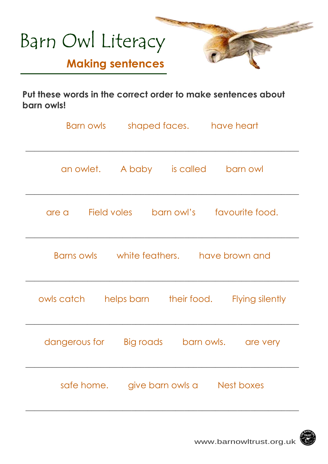

**Put these words in the correct order to make sentences about barn owls!** 

| Barn owls                                       | shaped faces. have heart               |                            |  |  |  |  |
|-------------------------------------------------|----------------------------------------|----------------------------|--|--|--|--|
|                                                 | an owlet. A baby is called             | barn owl                   |  |  |  |  |
| Field voles<br>are a                            |                                        | barn owl's favourite food. |  |  |  |  |
| Barns owls but white feathers. I have brown and |                                        |                            |  |  |  |  |
| owls catch                                      | helps barn<br>their food.              | Flying silently            |  |  |  |  |
| dangerous for                                   | Big roads                              | barn owls.<br>are very     |  |  |  |  |
|                                                 | safe home. give barn owls a Nest boxes |                            |  |  |  |  |